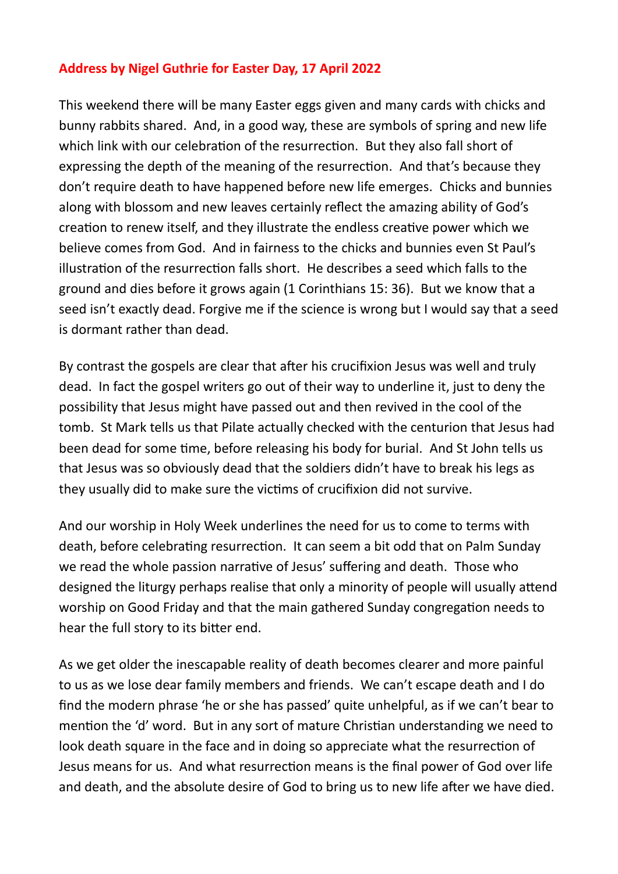## **Address by Nigel Guthrie for Easter Day, 17 April 2022**

This weekend there will be many Easter eggs given and many cards with chicks and bunny rabbits shared. And, in a good way, these are symbols of spring and new life which link with our celebration of the resurrection. But they also fall short of expressing the depth of the meaning of the resurrection. And that's because they don't require death to have happened before new life emerges. Chicks and bunnies along with blossom and new leaves certainly reflect the amazing ability of God's creation to renew itself, and they illustrate the endless creative power which we believe comes from God. And in fairness to the chicks and bunnies even St Paul's illustration of the resurrection falls short. He describes a seed which falls to the ground and dies before it grows again (1 Corinthians 15: 36). But we know that a seed isn't exactly dead. Forgive me if the science is wrong but I would say that a seed is dormant rather than dead.

By contrast the gospels are clear that after his crucifixion Jesus was well and truly dead. In fact the gospel writers go out of their way to underline it, just to deny the possibility that Jesus might have passed out and then revived in the cool of the tomb. St Mark tells us that Pilate actually checked with the centurion that Jesus had been dead for some time, before releasing his body for burial. And St John tells us that Jesus was so obviously dead that the soldiers didn't have to break his legs as they usually did to make sure the victims of crucifixion did not survive.

And our worship in Holy Week underlines the need for us to come to terms with death, before celebrating resurrection. It can seem a bit odd that on Palm Sunday we read the whole passion narrative of Jesus' suffering and death. Those who designed the liturgy perhaps realise that only a minority of people will usually attend worship on Good Friday and that the main gathered Sunday congregation needs to hear the full story to its bitter end.

As we get older the inescapable reality of death becomes clearer and more painful to us as we lose dear family members and friends. We can't escape death and I do find the modern phrase 'he or she has passed' quite unhelpful, as if we can't bear to mention the 'd' word. But in any sort of mature Christian understanding we need to look death square in the face and in doing so appreciate what the resurrection of Jesus means for us. And what resurrection means is the final power of God over life and death, and the absolute desire of God to bring us to new life after we have died.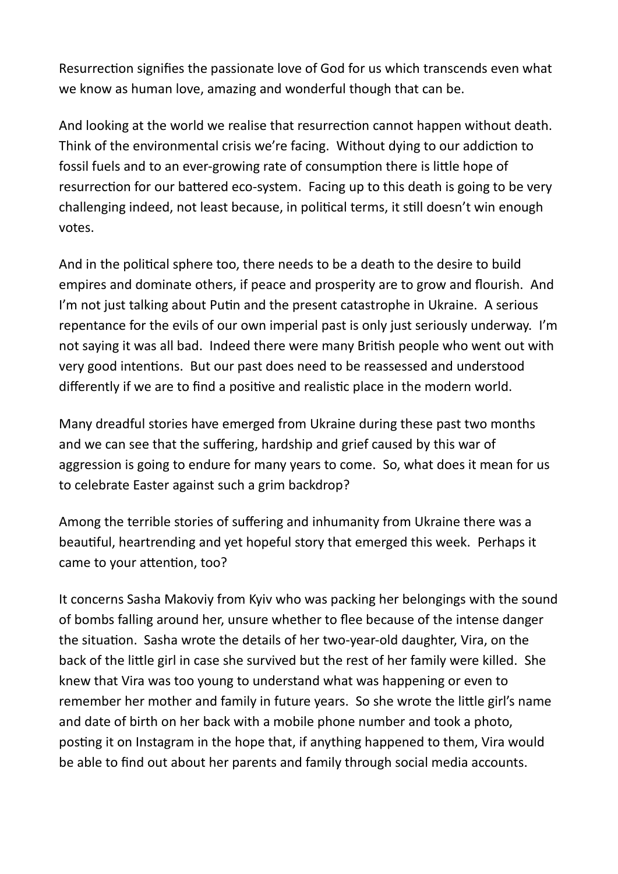Resurrection signifies the passionate love of God for us which transcends even what we know as human love, amazing and wonderful though that can be.

And looking at the world we realise that resurrection cannot happen without death. Think of the environmental crisis we're facing. Without dying to our addiction to fossil fuels and to an ever-growing rate of consumption there is little hope of resurrection for our battered eco-system. Facing up to this death is going to be very challenging indeed, not least because, in political terms, it still doesn't win enough votes.

And in the political sphere too, there needs to be a death to the desire to build empires and dominate others, if peace and prosperity are to grow and flourish. And I'm not just talking about Putin and the present catastrophe in Ukraine. A serious repentance for the evils of our own imperial past is only just seriously underway. I'm not saying it was all bad. Indeed there were many British people who went out with very good intentions. But our past does need to be reassessed and understood differently if we are to find a positive and realistic place in the modern world.

Many dreadful stories have emerged from Ukraine during these past two months and we can see that the suffering, hardship and grief caused by this war of aggression is going to endure for many years to come. So, what does it mean for us to celebrate Easter against such a grim backdrop?

Among the terrible stories of suffering and inhumanity from Ukraine there was a beautiful, heartrending and yet hopeful story that emerged this week. Perhaps it came to your attention, too?

It concerns Sasha Makoviy from Kyiv who was packing her belongings with the sound of bombs falling around her, unsure whether to flee because of the intense danger the situation. Sasha wrote the details of her two-year-old daughter, Vira, on the back of the little girl in case she survived but the rest of her family were killed. She knew that Vira was too young to understand what was happening or even to remember her mother and family in future years. So she wrote the little girl's name and date of birth on her back with a mobile phone number and took a photo, posting it on Instagram in the hope that, if anything happened to them, Vira would be able to find out about her parents and family through social media accounts.